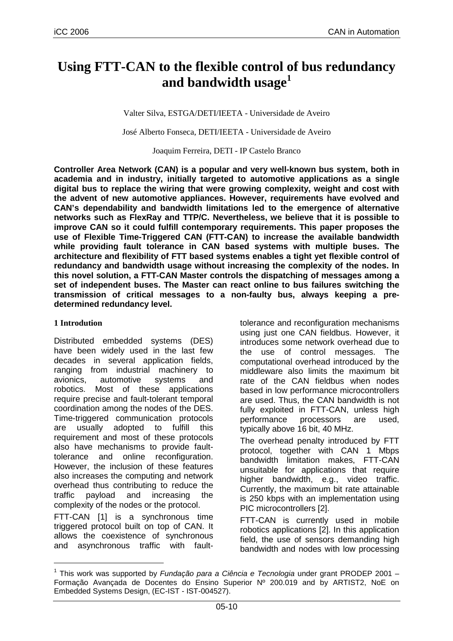# **Using FTT-CAN to the flexible control of bus redundancy and bandwidth usage<sup>1</sup>**

Valter Silva, ESTGA/DETI/IEETA - Universidade de Aveiro

José Alberto Fonseca, DETI/IEETA - Universidade de Aveiro

Joaquim Ferreira, DETI - IP Castelo Branco

**Controller Area Network (CAN) is a popular and very well-known bus system, both in academia and in industry, initially targeted to automotive applications as a single digital bus to replace the wiring that were growing complexity, weight and cost with the advent of new automotive appliances. However, requirements have evolved and CAN's dependability and bandwidth limitations led to the emergence of alternative networks such as FlexRay and TTP/C. Nevertheless, we believe that it is possible to improve CAN so it could fulfill contemporary requirements. This paper proposes the use of Flexible Time-Triggered CAN (FTT-CAN) to increase the available bandwidth while providing fault tolerance in CAN based systems with multiple buses. The architecture and flexibility of FTT based systems enables a tight yet flexible control of redundancy and bandwidth usage without increasing the complexity of the nodes. In this novel solution, a FTT-CAN Master controls the dispatching of messages among a set of independent buses. The Master can react online to bus failures switching the transmission of critical messages to a non-faulty bus, always keeping a predetermined redundancy level.** 

#### **1 Introdution**

Distributed embedded systems (DES) have been widely used in the last few decades in several application fields, ranging from industrial machinery to avionics, automotive systems and robotics. Most of these applications require precise and fault-tolerant temporal coordination among the nodes of the DES. Time-triggered communication protocols are usually adopted to fulfill this requirement and most of these protocols also have mechanisms to provide faulttolerance and online reconfiguration. However, the inclusion of these features also increases the computing and network overhead thus contributing to reduce the traffic payload and increasing the complexity of the nodes or the protocol.

FTT-CAN [1] is a synchronous time triggered protocol built on top of CAN. It allows the coexistence of synchronous and asynchronous traffic with faulttolerance and reconfiguration mechanisms using just one CAN fieldbus. However, it introduces some network overhead due to the use of control messages. The computational overhead introduced by the middleware also limits the maximum bit rate of the CAN fieldbus when nodes based in low performance microcontrollers are used. Thus, the CAN bandwidth is not fully exploited in FTT-CAN, unless high performance processors are used, typically above 16 bit, 40 MHz.

The overhead penalty introduced by FTT protocol, together with CAN 1 Mbps bandwidth limitation makes, FTT-CAN unsuitable for applications that require higher bandwidth, e.g., video traffic. Currently, the maximum bit rate attainable is 250 kbps with an implementation using PIC microcontrollers [2].

FTT-CAN is currently used in mobile robotics applications [2]. In this application field, the use of sensors demanding high bandwidth and nodes with low processing

<sup>&</sup>lt;sup>1</sup> This work was supported by Fundação para a Ciência e Tecnologia under grant PRODEP 2001 -Formação Avançada de Docentes do Ensino Superior Nº 200.019 and by ARTIST2, NoE on Embedded Systems Design, (EC-IST - IST-004527).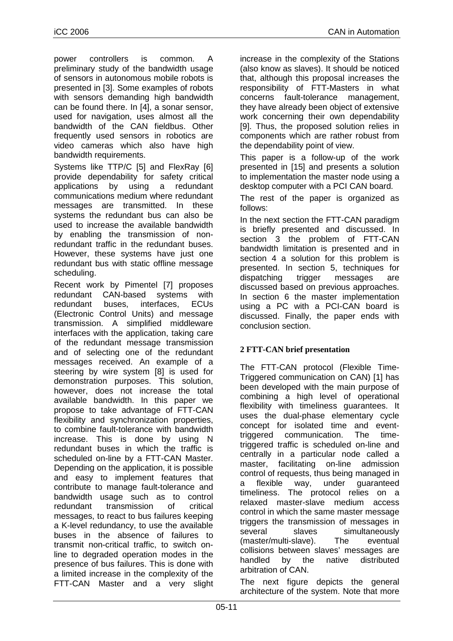power controllers is common. A preliminary study of the bandwidth usage of sensors in autonomous mobile robots is presented in [3]. Some examples of robots with sensors demanding high bandwidth can be found there. In [4], a sonar sensor, used for navigation, uses almost all the bandwidth of the CAN fieldbus. Other frequently used sensors in robotics are video cameras which also have high bandwidth requirements.

Systems like TTP/C [5] and FlexRay [6] provide dependability for safety critical applications by using a redundant communications medium where redundant messages are transmitted. In these systems the redundant bus can also be used to increase the available bandwidth by enabling the transmission of nonredundant traffic in the redundant buses. However, these systems have just one redundant bus with static offline message scheduling.

Recent work by Pimentel [7] proposes redundant CAN-based systems with redundant buses, interfaces, ECUs (Electronic Control Units) and message transmission. A simplified middleware interfaces with the application, taking care of the redundant message transmission and of selecting one of the redundant messages received. An example of a steering by wire system [8] is used for demonstration purposes. This solution, however, does not increase the total available bandwidth. In this paper we propose to take advantage of FTT-CAN flexibility and synchronization properties, to combine fault-tolerance with bandwidth increase. This is done by using N redundant buses in which the traffic is scheduled on-line by a FTT-CAN Master. Depending on the application, it is possible and easy to implement features that contribute to manage fault-tolerance and bandwidth usage such as to control redundant transmission of critical messages, to react to bus failures keeping a K-level redundancy, to use the available buses in the absence of failures to transmit non-critical traffic, to switch online to degraded operation modes in the presence of bus failures. This is done with a limited increase in the complexity of the FTT-CAN Master and a very slight increase in the complexity of the Stations (also know as slaves). It should be noticed that, although this proposal increases the responsibility of FTT-Masters in what concerns fault-tolerance management, they have already been object of extensive work concerning their own dependability [9]. Thus, the proposed solution relies in components which are rather robust from the dependability point of view.

This paper is a follow-up of the work presented in [15] and presents a solution to implementation the master node using a desktop computer with a PCI CAN board.

The rest of the paper is organized as follows:

In the next section the FTT-CAN paradigm is briefly presented and discussed. In section 3 the problem of FTT-CAN bandwidth limitation is presented and in section 4 a solution for this problem is presented. In section 5, techniques for dispatching trigger messages are discussed based on previous approaches. In section 6 the master implementation using a PC with a PCI-CAN board is discussed. Finally, the paper ends with conclusion section.

# **2 FTT-CAN brief presentation**

The FTT-CAN protocol (Flexible Time-Triggered communication on CAN) [1] has been developed with the main purpose of combining a high level of operational flexibility with timeliness guarantees. It uses the dual-phase elementary cycle concept for isolated time and eventtriggered communication. The timetriggered traffic is scheduled on-line and centrally in a particular node called a master, facilitating on-line admission control of requests, thus being managed in a flexible way, under guaranteed timeliness. The protocol relies on a relaxed master-slave medium access control in which the same master message triggers the transmission of messages in several slaves simultaneously (master/multi-slave). The eventual collisions between slaves' messages are handled by the native distributed arbitration of CAN.

The next figure depicts the general architecture of the system. Note that more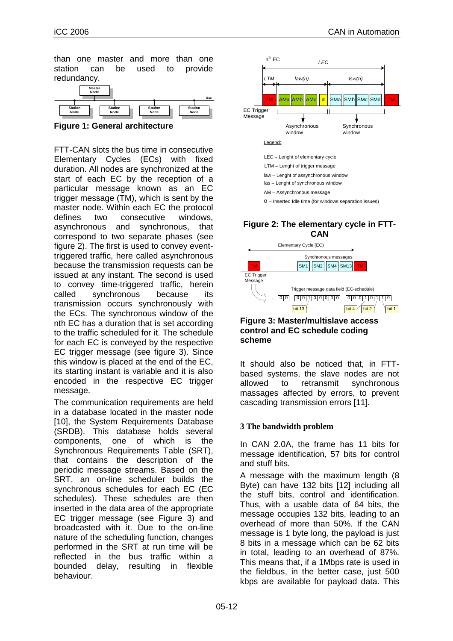than one master and more than one station can be used to provide redundancy.



**Figure 1: General architecture** 

FTT-CAN slots the bus time in consecutive Elementary Cycles (ECs) with fixed duration. All nodes are synchronized at the start of each EC by the reception of a particular message known as an EC trigger message (TM), which is sent by the master node. Within each EC the protocol defines two consecutive windows, asynchronous and synchronous, that correspond to two separate phases (see figure 2). The first is used to convey eventtriggered traffic, here called asynchronous because the transmission requests can be issued at any instant. The second is used to convey time-triggered traffic, herein called synchronous because its transmission occurs synchronously with the ECs. The synchronous window of the nth EC has a duration that is set according to the traffic scheduled for it. The schedule for each EC is conveyed by the respective EC trigger message (see figure 3). Since this window is placed at the end of the EC, its starting instant is variable and it is also encoded in the respective EC trigger message.

The communication requirements are held in a database located in the master node [10], the System Requirements Database (SRDB). This database holds several components, one of which is the Synchronous Requirements Table (SRT), that contains the description of the periodic message streams. Based on the SRT, an on-line scheduler builds the synchronous schedules for each EC (EC schedules). These schedules are then inserted in the data area of the appropriate EC trigger message (see Figure 3) and broadcasted with it. Due to the on-line nature of the scheduling function, changes performed in the SRT at run time will be reflected in the bus traffic within a bounded delay, resulting in flexible behaviour.



## **Figure 2: The elementary cycle in FTT-CAN**





It should also be noticed that, in FTTbased systems, the slave nodes are not allowed to retransmit synchronous massages affected by errors, to prevent cascading transmission errors [11].

## **3 The bandwidth problem**

In CAN 2.0A, the frame has 11 bits for message identification, 57 bits for control and stuff bits.

A message with the maximum length (8 Byte) can have 132 bits [12] including all the stuff bits, control and identification. Thus, with a usable data of 64 bits, the message occupies 132 bits, leading to an overhead of more than 50%. If the CAN message is 1 byte long, the payload is just 8 bits in a message which can be 62 bits in total, leading to an overhead of 87%. This means that, if a 1Mbps rate is used in the fieldbus, in the better case, just 500 kbps are available for payload data. This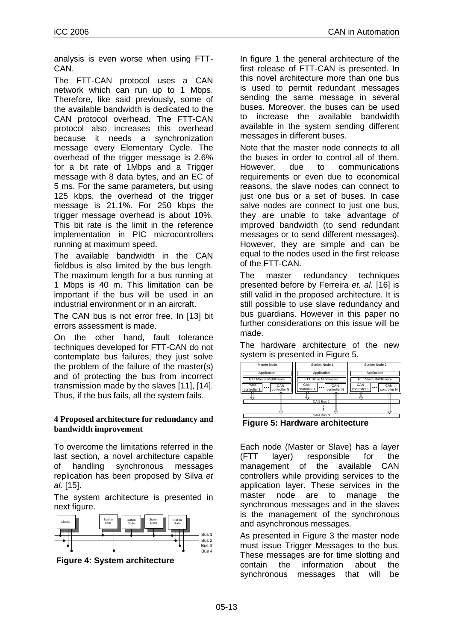analysis is even worse when using FTT-CAN.

The FTT-CAN protocol uses a CAN network which can run up to 1 Mbps. Therefore, like said previously, some of the available bandwidth is dedicated to the CAN protocol overhead. The FTT-CAN protocol also increases this overhead because it needs a synchronization message every Elementary Cycle. The overhead of the trigger message is 2.6% for a bit rate of 1Mbps and a Trigger message with 8 data bytes, and an EC of 5 ms. For the same parameters, but using 125 kbps, the overhead of the trigger message is 21.1%. For 250 kbps the trigger message overhead is about 10%. This bit rate is the limit in the reference implementation in PIC microcontrollers running at maximum speed.

The available bandwidth in the CAN fieldbus is also limited by the bus length. The maximum length for a bus running at 1 Mbps is 40 m. This limitation can be important if the bus will be used in an industrial environment or in an aircraft.

The CAN bus is not error free. In [13] bit errors assessment is made.

On the other hand, fault tolerance techniques developed for FTT-CAN do not contemplate bus failures, they just solve the problem of the failure of the master(s) and of protecting the bus from incorrect transmission made by the slaves [11], [14]. Thus, if the bus fails, all the system fails.

#### **4 Proposed architecture for redundancy and bandwidth improvement**

To overcome the limitations referred in the last section, a novel architecture capable of handling synchronous messages replication has been proposed by Silva et al. [15].

The system architecture is presented in next figure.



 **Figure 4: System architecture** 

In figure 1 the general architecture of the first release of FTT-CAN is presented. In this novel architecture more than one bus is used to permit redundant messages sending the same message in several buses. Moreover, the buses can be used to increase the available bandwidth available in the system sending different messages in different buses.

Note that the master node connects to all the buses in order to control all of them. However, due to communications requirements or even due to economical reasons, the slave nodes can connect to just one bus or a set of buses. In case salve nodes are connect to just one bus. they are unable to take advantage of improved bandwidth (to send redundant messages or to send different messages). However, they are simple and can be equal to the nodes used in the first release of the FTT-CAN.

The master redundancy techniques presented before by Ferreira et. al. [16] is still valid in the proposed architecture. It is still possible to use slave redundancy and bus guardians. However in this paper no further considerations on this issue will be made.

The hardware architecture of the new system is presented in Figure 5.

| Master Node                                    | Station Node 1                                 | Station Node 2                                 |
|------------------------------------------------|------------------------------------------------|------------------------------------------------|
| Application                                    | Application                                    | Application                                    |
| FTT Master Middleware                          | FTT Slave Middleware                           | FTT Slave Middleware                           |
| CAN<br>CAN<br><br>controller N<br>controller 1 | CAN<br>CAN<br><br>controller 1<br>controller N | CAN<br>CAN<br><br>controller 1<br>controller N |
|                                                | CAN Bus 1                                      |                                                |
|                                                |                                                |                                                |
| CAN Bus N                                      |                                                |                                                |

 **Figure 5: Hardware architecture** 

Each node (Master or Slave) has a layer (FTT layer) responsible for the management of the available CAN controllers while providing services to the application layer. These services in the master node are to manage the synchronous messages and in the slaves is the management of the synchronous and asynchronous messages.

As presented in Figure 3 the master node must issue Trigger Messages to the bus. These messages are for time slotting and contain the information about the synchronous messages that will be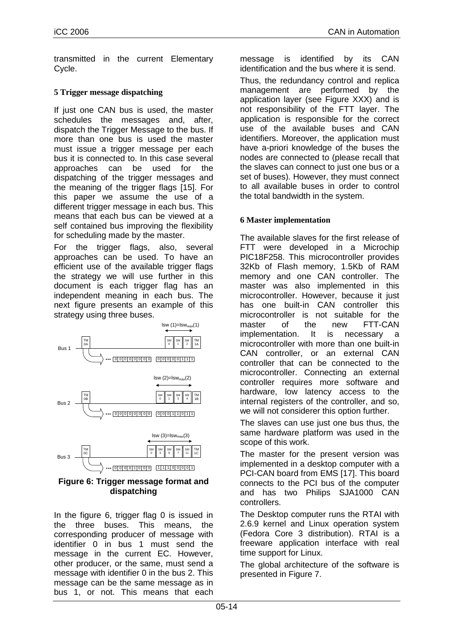transmitted in the current Elementary Cycle.

## **5 Trigger message dispatching**

If just one CAN bus is used, the master schedules the messages and, after, dispatch the Trigger Message to the bus. If more than one bus is used the master must issue a trigger message per each bus it is connected to. In this case several approaches can be used for the dispatching of the trigger messages and the meaning of the trigger flags [15]. For this paper we assume the use of a different trigger message in each bus. This means that each bus can be viewed at a self contained bus improving the flexibility for scheduling made by the master.

For the trigger flags, also, several approaches can be used. To have an efficient use of the available trigger flags the strategy we will use further in this document is each trigger flag has an independent meaning in each bus. The next figure presents an example of this strategy using three buses.



#### **Figure 6: Trigger message format and dispatching**

In the figure 6, trigger flag 0 is issued in the three buses. This means, the corresponding producer of message with identifier 0 in bus 1 must send the message in the current EC. However, other producer, or the same, must send a message with identifier 0 in the bus 2. This message can be the same message as in bus 1, or not. This means that each

message is identified by its CAN identification and the bus where it is send.

Thus, the redundancy control and replica management are performed by the application layer (see Figure XXX) and is not responsibility of the FTT layer. The application is responsible for the correct use of the available buses and CAN identifiers. Moreover, the application must have a-priori knowledge of the buses the nodes are connected to (please recall that the slaves can connect to just one bus or a set of buses). However, they must connect to all available buses in order to control the total bandwidth in the system.

## **6 Master implementation**

The available slaves for the first release of FTT were developed in a Microchip PIC18F258. This microcontroller provides 32Kb of Flash memory, 1.5Kb of RAM memory and one CAN controller. The master was also implemented in this microcontroller. However, because it just has one built-in CAN controller this microcontroller is not suitable for the master of the new FTT-CAN implementation. It is necessary a microcontroller with more than one built-in CAN controller, or an external CAN controller that can be connected to the microcontroller. Connecting an external controller requires more software and hardware, low latency access to the internal registers of the controller, and so, we will not considerer this option further.

The slaves can use just one bus thus, the same hardware platform was used in the scope of this work.

The master for the present version was implemented in a desktop computer with a PCI-CAN board from EMS [17]. This board connects to the PCI bus of the computer and has two Philips SJA1000 CAN controllers.

The Desktop computer runs the RTAI with 2.6.9 kernel and Linux operation system (Fedora Core 3 distribution). RTAI is a freeware application interface with real time support for Linux.

The global architecture of the software is presented in Figure 7.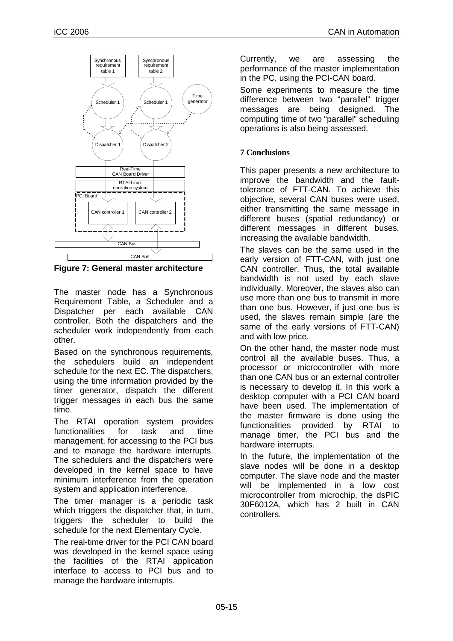

**Figure 7: General master architecture** 

The master node has a Synchronous Requirement Table, a Scheduler and a Dispatcher per each available CAN controller. Both the dispatchers and the scheduler work independently from each other.

Based on the synchronous requirements, the schedulers build an independent schedule for the next EC. The dispatchers, using the time information provided by the timer generator, dispatch the different trigger messages in each bus the same time.

The RTAI operation system provides functionalities for task and time management, for accessing to the PCI bus and to manage the hardware interrupts. The schedulers and the dispatchers were developed in the kernel space to have minimum interference from the operation system and application interference.

The timer manager is a periodic task which triggers the dispatcher that, in turn, triggers the scheduler to build the schedule for the next Elementary Cycle.

The real-time driver for the PCI CAN board was developed in the kernel space using the facilities of the RTAI application interface to access to PCI bus and to manage the hardware interrupts.

Currently, we are assessing the performance of the master implementation in the PC, using the PCI-CAN board.

Some experiments to measure the time difference between two "parallel" trigger messages are being designed. The computing time of two "parallel" scheduling operations is also being assessed.

## **7 Conclusions**

This paper presents a new architecture to improve the bandwidth and the faulttolerance of FTT-CAN. To achieve this objective, several CAN buses were used, either transmitting the same message in different buses (spatial redundancy) or different messages in different buses, increasing the available bandwidth.

The slaves can be the same used in the early version of FTT-CAN, with just one CAN controller. Thus, the total available bandwidth is not used by each slave individually. Moreover, the slaves also can use more than one bus to transmit in more than one bus. However, if just one bus is used, the slaves remain simple (are the same of the early versions of FTT-CAN) and with low price.

On the other hand, the master node must control all the available buses. Thus, a processor or microcontroller with more than one CAN bus or an external controller is necessary to develop it. In this work a desktop computer with a PCI CAN board have been used. The implementation of the master firmware is done using the functionalities provided by RTAI to manage timer, the PCI bus and the hardware interrupts.

In the future, the implementation of the slave nodes will be done in a desktop computer. The slave node and the master will be implemented in a low cost microcontroller from microchip, the dsPIC 30F6012A, which has 2 built in CAN controllers.